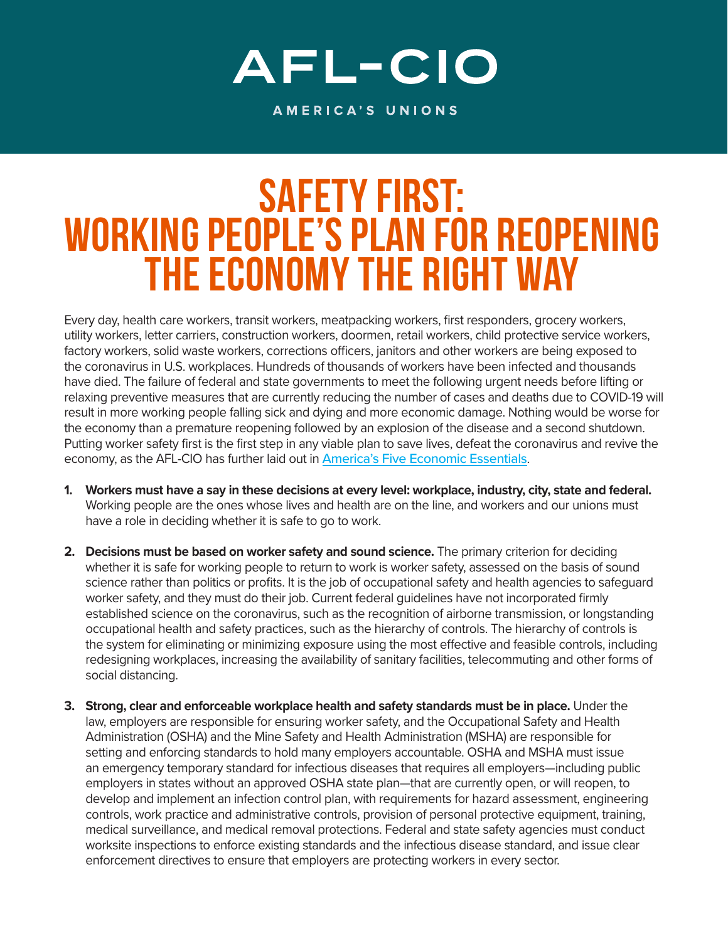## AFL-CIO

AMERICA'S UNIONS

## SAFETY FIRST: WORKING PEOPLE'S PLAN FOR REOPENING THE ECONOMY THE RIGHT WAY

Every day, health care workers, transit workers, meatpacking workers, first responders, grocery workers, utility workers, letter carriers, construction workers, doormen, retail workers, child protective service workers, factory workers, solid waste workers, corrections officers, janitors and other workers are being exposed to the coronavirus in U.S. workplaces. Hundreds of thousands of workers have been infected and thousands have died. The failure of federal and state governments to meet the following urgent needs before lifting or relaxing preventive measures that are currently reducing the number of cases and deaths due to COVID-19 will result in more working people falling sick and dying and more economic damage. Nothing would be worse for the economy than a premature reopening followed by an explosion of the disease and a second shutdown. Putting worker safety first is the first step in any viable plan to save lives, defeat the coronavirus and revive the economy, as the AFL-CIO has further laid out in [America's Five Economic Essentials](https://aflcio.org/covid-19/five-economic-essentials).

- **1. Workers must have a say in these decisions at every level: workplace, industry, city, state and federal.**  Working people are the ones whose lives and health are on the line, and workers and our unions must have a role in deciding whether it is safe to go to work.
- **2. Decisions must be based on worker safety and sound science.** The primary criterion for deciding whether it is safe for working people to return to work is worker safety, assessed on the basis of sound science rather than politics or profits. It is the job of occupational safety and health agencies to safeguard worker safety, and they must do their job. Current federal guidelines have not incorporated firmly established science on the coronavirus, such as the recognition of airborne transmission, or longstanding occupational health and safety practices, such as the hierarchy of controls. The hierarchy of controls is the system for eliminating or minimizing exposure using the most effective and feasible controls, including redesigning workplaces, increasing the availability of sanitary facilities, telecommuting and other forms of social distancing.
- **3. Strong, clear and enforceable workplace health and safety standards must be in place.** Under the law, employers are responsible for ensuring worker safety, and the Occupational Safety and Health Administration (OSHA) and the Mine Safety and Health Administration (MSHA) are responsible for setting and enforcing standards to hold many employers accountable. OSHA and MSHA must issue an emergency temporary standard for infectious diseases that requires all employers—including public employers in states without an approved OSHA state plan—that are currently open, or will reopen, to develop and implement an infection control plan, with requirements for hazard assessment, engineering controls, work practice and administrative controls, provision of personal protective equipment, training, medical surveillance, and medical removal protections. Federal and state safety agencies must conduct worksite inspections to enforce existing standards and the infectious disease standard, and issue clear enforcement directives to ensure that employers are protecting workers in every sector.